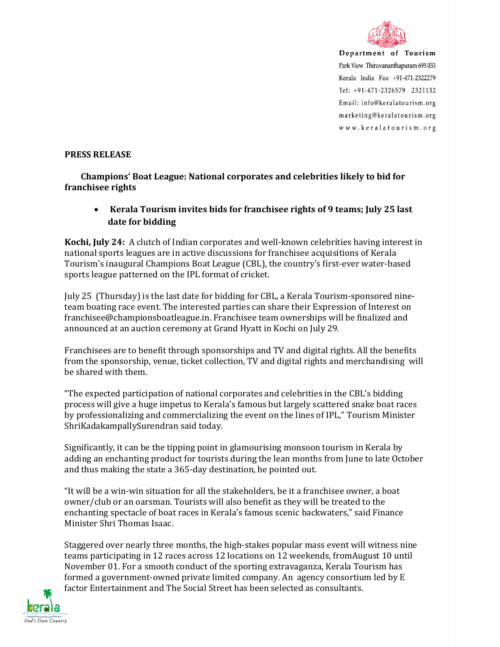

Department of Tourism Park View Thiruvananthapuram 695 033 Kerala India Fax: +91-471-2322279 Tel: +91-471-2326579 2321132 Email: info@keralatourism.org marketing@keralatourism.org www.keralatourism.org

## **PRESS RELEASE**

 **Champions' Boat League: National corporates and celebrities likely to bid for franchisee rights** 

• **Kerala Tourism invites bids for franchisee rights of 9 teams; July 25 last date for bidding** 

**Kochi, July 24:** A clutch of Indian corporates and well-known celebrities having interest in national sports leagues are in active discussions for franchisee acquisitions of Kerala Tourism's inaugural Champions Boat League (CBL), the country's first-ever water-based sports league patterned on the IPL format of cricket.

July 25 (Thursday) is the last date for bidding for CBL, a Kerala Tourism-sponsored nineteam boating race event. The interested parties can share their Expression of Interest on franchisee@championsboatleague.in. Franchisee team ownerships will be finalized and announced at an auction ceremony at Grand Hyatt in Kochi on July 29.

Franchisees are to benefit through sponsorships and TV and digital rights. All the benefits from the sponsorship, venue, ticket collection, TV and digital rights and merchandising will be shared with them.

"The expected participation of national corporates and celebrities in the CBL's bidding process will give a huge impetus to Kerala's famous but largely scattered snake boat races by professionalizing and commercializing the event on the lines of IPL," Tourism Minister ShriKadakampallySurendran said today.

Significantly, it can be the tipping point in glamourising monsoon tourism in Kerala by adding an enchanting product for tourists during the lean months from June to late October and thus making the state a 365-day destination, he pointed out.

"It will be a win-win situation for all the stakeholders, be it a franchisee owner, a boat owner/club or an oarsman. Tourists will also benefit as they will be treated to the enchanting spectacle of boat races in Kerala's famous scenic backwaters," said Finance Minister Shri Thomas Isaac.

Staggered over nearly three months, the high-stakes popular mass event will witness nine teams participating in 12 races across 12 locations on 12 weekends, fromAugust 10 until November 01. For a smooth conduct of the sporting extravaganza, Kerala Tourism has formed a government-owned private limited company. An agency consortium led by E factor Entertainment and The Social Street has been selected as consultants.